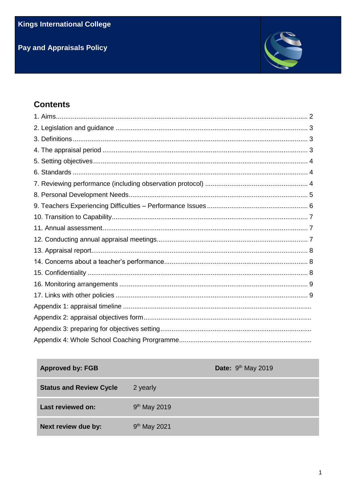# **Pay and Appraisals Policy**



# **Contents**

| <b>Approved by: FGB</b>        | Date: 9 <sup>th</sup> May 2019 |
|--------------------------------|--------------------------------|
| <b>Status and Review Cycle</b> | 2 yearly                       |
| <b>Last reviewed on:</b>       | 9 <sup>th</sup> May 2019       |
| Next review due by:            | 9 <sup>th</sup> May 2021       |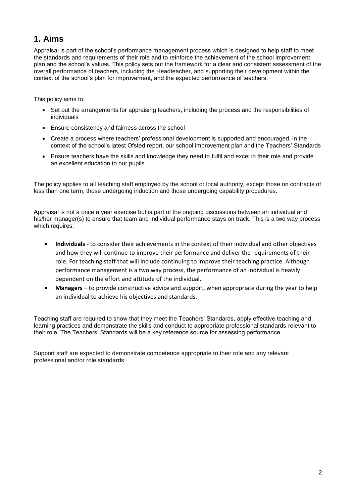# **1. Aims**

Appraisal is part of the school's performance management process which is designed to help staff to meet the standards and requirements of their role and to reinforce the achievement of the school improvement plan and the school's values. This policy sets out the framework for a clear and consistent assessment of the overall performance of teachers, including the Headteacher, and supporting their development within the context of the school's plan for improvement, and the expected performance of teachers.

This policy aims to:

- Set out the arrangements for appraising teachers, including the process and the responsibilities of individuals
- Ensure consistency and fairness across the school
- Create a process where teachers' professional development is supported and encouraged, in the context of the school's latest Ofsted report, our school improvement plan and the Teachers' Standards
- Ensure teachers have the skills and knowledge they need to fulfil and excel in their role and provide an excellent education to our pupils

The policy applies to all teaching staff employed by the school or local authority, except those on contracts of less than one term, those undergoing induction and those undergoing capability procedures.

Appraisal is not a once a year exercise but is part of the ongoing discussions between an individual and his/her manager(s) to ensure that team and individual performance stays on track. This is a two way process which requires:

- **Individuals** to consider their achievements in the context of their individual and other objectives and how they will continue to improve their performance and deliver the requirements of their role. For teaching staff that will include continuing to improve their teaching practice. Although performance management is a two way process, the performance of an individual is heavily dependent on the effort and attitude of the individual.
- **Managers** to provide constructive advice and support, when appropriate during the year to help an individual to achieve his objectives and standards.

Teaching staff are required to show that they meet the Teachers' Standards, apply effective teaching and learning practices and demonstrate the skills and conduct to appropriate professional standards relevant to their role. The Teachers' Standards will be a key reference source for assessing performance.

Support staff are expected to demonstrate competence appropriate to their role and any relevant professional and/or role standards.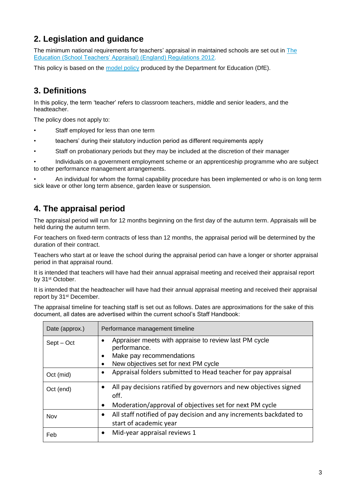# **2. Legislation and guidance**

The minimum national requirements for teachers' appraisal in maintained schools are set out in [The](http://www.legislation.gov.uk/uksi/2012/115/contents/made)  [Education \(School Teachers' Appraisal\) \(England\) Regulations](http://www.legislation.gov.uk/uksi/2012/115/contents/made) 2012.

This policy is based on the [model policy](https://www.gov.uk/government/publications/teacher-appraisal-and-capability-model-policy) produced by the Department for Education (DfE).

# **3. Definitions**

In this policy, the term 'teacher' refers to classroom teachers, middle and senior leaders, and the headteacher.

The policy does not apply to:

- Staff employed for less than one term
- teachers' during their statutory induction period as different requirements apply
- Staff on probationary periods but they may be included at the discretion of their manager

• Individuals on a government employment scheme or an apprenticeship programme who are subject to other performance management arrangements.

• An individual for whom the formal capability procedure has been implemented or who is on long term sick leave or other long term absence, garden leave or suspension.

# **4. The appraisal period**

The appraisal period will run for 12 months beginning on the first day of the autumn term. Appraisals will be held during the autumn term.

For teachers on fixed-term contracts of less than 12 months, the appraisal period will be determined by the duration of their contract.

Teachers who start at or leave the school during the appraisal period can have a longer or shorter appraisal period in that appraisal round.

It is intended that teachers will have had their annual appraisal meeting and received their appraisal report by 31<sup>st</sup> October.

It is intended that the headteacher will have had their annual appraisal meeting and received their appraisal report by 31<sup>st</sup> December.

The appraisal timeline for teaching staff is set out as follows. Dates are approximations for the sake of this document, all dates are advertised within the current school's Staff Handbook:

| Date (approx.) | Performance management timeline                                           |  |  |  |  |
|----------------|---------------------------------------------------------------------------|--|--|--|--|
| Sept – Oct     | Appraiser meets with appraise to review last PM cycle                     |  |  |  |  |
|                | performance.                                                              |  |  |  |  |
|                | Make pay recommendations                                                  |  |  |  |  |
|                | New objectives set for next PM cycle                                      |  |  |  |  |
| Oct (mid)      | Appraisal folders submitted to Head teacher for pay appraisal             |  |  |  |  |
| Oct (end)      | All pay decisions ratified by governors and new objectives signed<br>off. |  |  |  |  |
|                | Moderation/approval of objectives set for next PM cycle                   |  |  |  |  |
| Nov            | All staff notified of pay decision and any increments backdated to        |  |  |  |  |
|                | start of academic year                                                    |  |  |  |  |
| Feb            | Mid-year appraisal reviews 1                                              |  |  |  |  |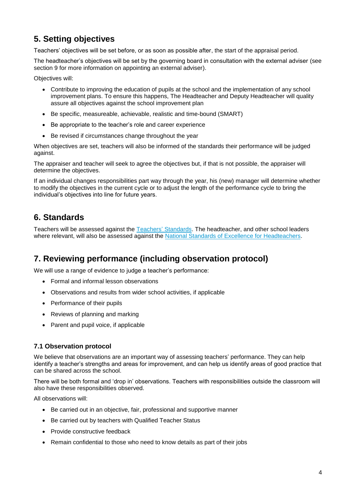# **5. Setting objectives**

Teachers' objectives will be set before, or as soon as possible after, the start of the appraisal period.

The headteacher's objectives will be set by the governing board in consultation with the external adviser (see section 9 for more information on appointing an external adviser).

Objectives will:

- Contribute to improving the education of pupils at the school and the implementation of any school improvement plans. To ensure this happens, The Headteacher and Deputy Headteacher will quality assure all objectives against the school improvement plan
- Be specific, measureable, achievable, realistic and time-bound (SMART)
- Be appropriate to the teacher's role and career experience
- Be revised if circumstances change throughout the year

When objectives are set, teachers will also be informed of the standards their performance will be judged against.

The appraiser and teacher will seek to agree the objectives but, if that is not possible, the appraiser will determine the objectives.

If an individual changes responsibilities part way through the year, his (new) manager will determine whether to modify the objectives in the current cycle or to adjust the length of the performance cycle to bring the individual's objectives into line for future years.

### **6. Standards**

Teachers will be assessed against the Teachers' [Standards.](https://www.gov.uk/government/publications/teachers-standards) The headteacher, and other school leaders where relevant, will also be assessed against the [National Standards of Excellence for Headteachers.](https://www.gov.uk/government/publications/national-standards-of-excellence-for-headteachers)

### **7. Reviewing performance (including observation protocol)**

We will use a range of evidence to judge a teacher's performance:

- Formal and informal lesson observations
- Observations and results from wider school activities, if applicable
- Performance of their pupils
- Reviews of planning and marking
- Parent and pupil voice, if applicable

#### **7.1 Observation protocol**

We believe that observations are an important way of assessing teachers' performance. They can help identify a teacher's strengths and areas for improvement, and can help us identify areas of good practice that can be shared across the school.

There will be both formal and 'drop in' observations. Teachers with responsibilities outside the classroom will also have these responsibilities observed.

All observations will:

- Be carried out in an objective, fair, professional and supportive manner
- Be carried out by teachers with Qualified Teacher Status
- Provide constructive feedback
- Remain confidential to those who need to know details as part of their jobs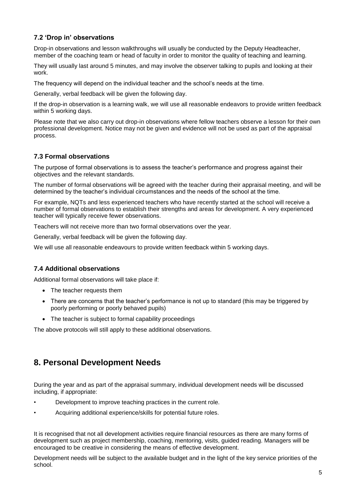#### **7.2 'Drop in' observations**

Drop-in observations and lesson walkthroughs will usually be conducted by the Deputy Headteacher, member of the coaching team or head of faculty in order to monitor the quality of teaching and learning.

They will usually last around 5 minutes, and may involve the observer talking to pupils and looking at their work.

The frequency will depend on the individual teacher and the school's needs at the time.

Generally, verbal feedback will be given the following day.

If the drop-in observation is a learning walk, we will use all reasonable endeavors to provide written feedback within 5 working days.

Please note that we also carry out drop-in observations where fellow teachers observe a lesson for their own professional development. Notice may not be given and evidence will not be used as part of the appraisal process.

#### **7.3 Formal observations**

The purpose of formal observations is to assess the teacher's performance and progress against their objectives and the relevant standards.

The number of formal observations will be agreed with the teacher during their appraisal meeting, and will be determined by the teacher's individual circumstances and the needs of the school at the time.

For example, NQTs and less experienced teachers who have recently started at the school will receive a number of formal observations to establish their strengths and areas for development. A very experienced teacher will typically receive fewer observations.

Teachers will not receive more than two formal observations over the year.

Generally, verbal feedback will be given the following day.

We will use all reasonable endeavours to provide written feedback within 5 working days.

#### **7.4 Additional observations**

Additional formal observations will take place if:

- The teacher requests them
- There are concerns that the teacher's performance is not up to standard (this may be triggered by poorly performing or poorly behaved pupils)
- The teacher is subject to formal capability proceedings

The above protocols will still apply to these additional observations.

### **8. Personal Development Needs**

During the year and as part of the appraisal summary, individual development needs will be discussed including, if appropriate:

- Development to improve teaching practices in the current role.
- Acquiring additional experience/skills for potential future roles.

It is recognised that not all development activities require financial resources as there are many forms of development such as project membership, coaching, mentoring, visits, guided reading. Managers will be encouraged to be creative in considering the means of effective development.

Development needs will be subject to the available budget and in the light of the key service priorities of the school.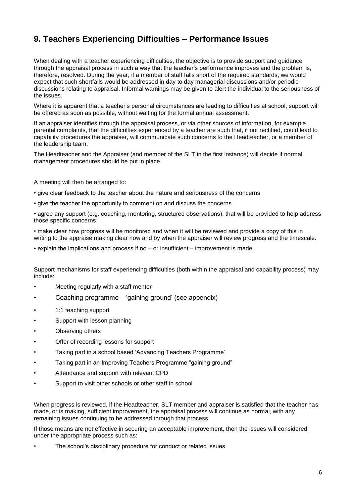# **9. Teachers Experiencing Difficulties – Performance Issues**

When dealing with a teacher experiencing difficulties, the objective is to provide support and guidance through the appraisal process in such a way that the teacher's performance improves and the problem is, therefore, resolved. During the year, if a member of staff falls short of the required standards, we would expect that such shortfalls would be addressed in day to day managerial discussions and/or periodic discussions relating to appraisal. Informal warnings may be given to alert the individual to the seriousness of the issues.

Where it is apparent that a teacher's personal circumstances are leading to difficulties at school, support will be offered as soon as possible, without waiting for the formal annual assessment.

If an appraiser identifies through the appraisal process, or via other sources of information, for example parental complaints, that the difficulties experienced by a teacher are such that, if not rectified, could lead to capability procedures the appraiser, will communicate such concerns to the Headteacher, or a member of the leadership team.

The Headteacher and the Appraiser (and member of the SLT in the first instance) will decide if normal management procedures should be put in place.

A meeting will then be arranged to:

- give clear feedback to the teacher about the nature and seriousness of the concerns
- give the teacher the opportunity to comment on and discuss the concerns

• agree any support (e.g. coaching, mentoring, structured observations), that will be provided to help address those specific concerns

• make clear how progress will be monitored and when it will be reviewed and provide a copy of this in writing to the appraise making clear how and by when the appraiser will review progress and the timescale.

• explain the implications and process if no – or insufficient – improvement is made.

Support mechanisms for staff experiencing difficulties (both within the appraisal and capability process) may include:

- Meeting regularly with a staff mentor
- Coaching programme 'gaining ground' (see appendix)
- 1:1 teaching support
- Support with lesson planning
- Observing others
- Offer of recording lessons for support
- Taking part in a school based 'Advancing Teachers Programme'
- Taking part in an Improving Teachers Programme "gaining ground"
- Attendance and support with relevant CPD
- Support to visit other schools or other staff in school

When progress is reviewed, if the Headteacher, SLT member and appraiser is satisfied that the teacher has made, or is making, sufficient improvement, the appraisal process will continue as normal, with any remaining issues continuing to be addressed through that process.

If those means are not effective in securing an acceptable improvement, then the issues will considered under the appropriate process such as:

The school's disciplinary procedure for conduct or related issues.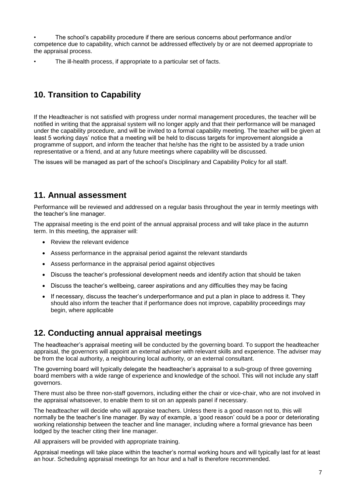• The school's capability procedure if there are serious concerns about performance and/or competence due to capability, which cannot be addressed effectively by or are not deemed appropriate to the appraisal process.

The ill-health process, if appropriate to a particular set of facts.

# **10. Transition to Capability**

If the Headteacher is not satisfied with progress under normal management procedures, the teacher will be notified in writing that the appraisal system will no longer apply and that their performance will be managed under the capability procedure, and will be invited to a formal capability meeting. The teacher will be given at least 5 working days' notice that a meeting will be held to discuss targets for improvement alongside a programme of support, and inform the teacher that he/she has the right to be assisted by a trade union representative or a friend, and at any future meetings where capability will be discussed.

The issues will be managed as part of the school's Disciplinary and Capability Policy for all staff.

### **11. Annual assessment**

Performance will be reviewed and addressed on a regular basis throughout the year in termly meetings with the teacher's line manager.

The appraisal meeting is the end point of the annual appraisal process and will take place in the autumn term. In this meeting, the appraiser will:

- Review the relevant evidence
- Assess performance in the appraisal period against the relevant standards
- Assess performance in the appraisal period against objectives
- Discuss the teacher's professional development needs and identify action that should be taken
- Discuss the teacher's wellbeing, career aspirations and any difficulties they may be facing
- If necessary, discuss the teacher's underperformance and put a plan in place to address it. They should also inform the teacher that if performance does not improve, capability proceedings may begin, where applicable

### **12. Conducting annual appraisal meetings**

The headteacher's appraisal meeting will be conducted by the governing board. To support the headteacher appraisal, the governors will appoint an external adviser with relevant skills and experience. The adviser may be from the local authority, a neighbouring local authority, or an external consultant.

The governing board will typically delegate the headteacher's appraisal to a sub-group of three governing board members with a wide range of experience and knowledge of the school. This will not include any staff governors.

There must also be three non-staff governors, including either the chair or vice-chair, who are not involved in the appraisal whatsoever, to enable them to sit on an appeals panel if necessary.

The headteacher will decide who will appraise teachers. Unless there is a good reason not to, this will normally be the teacher's line manager. By way of example, a 'good reason' could be a poor or deteriorating working relationship between the teacher and line manager, including where a formal grievance has been lodged by the teacher citing their line manager.

All appraisers will be provided with appropriate training.

Appraisal meetings will take place within the teacher's normal working hours and will typically last for at least an hour. Scheduling appraisal meetings for an hour and a half is therefore recommended.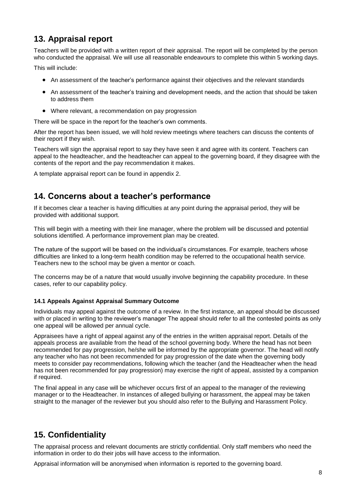## **13. Appraisal report**

Teachers will be provided with a written report of their appraisal. The report will be completed by the person who conducted the appraisal. We will use all reasonable endeavours to complete this within 5 working days.

This will include:

- An assessment of the teacher's performance against their objectives and the relevant standards
- An assessment of the teacher's training and development needs, and the action that should be taken to address them
- Where relevant, a recommendation on pay progression

There will be space in the report for the teacher's own comments.

After the report has been issued, we will hold review meetings where teachers can discuss the contents of their report if they wish.

Teachers will sign the appraisal report to say they have seen it and agree with its content. Teachers can appeal to the headteacher, and the headteacher can appeal to the governing board, if they disagree with the contents of the report and the pay recommendation it makes.

A template appraisal report can be found in appendix 2.

### **14. Concerns about a teacher's performance**

If it becomes clear a teacher is having difficulties at any point during the appraisal period, they will be provided with additional support.

This will begin with a meeting with their line manager, where the problem will be discussed and potential solutions identified. A performance improvement plan may be created.

The nature of the support will be based on the individual's circumstances. For example, teachers whose difficulties are linked to a long-term health condition may be referred to the occupational health service. Teachers new to the school may be given a mentor or coach.

The concerns may be of a nature that would usually involve beginning the capability procedure. In these cases, refer to our capability policy.

#### **14.1 Appeals Against Appraisal Summary Outcome**

Individuals may appeal against the outcome of a review. In the first instance, an appeal should be discussed with or placed in writing to the reviewer's manager The appeal should refer to all the contested points as only one appeal will be allowed per annual cycle.

Appraisees have a right of appeal against any of the entries in the written appraisal report. Details of the appeals process are available from the head of the school governing body. Where the head has not been recommended for pay progression, he/she will be informed by the appropriate governor. The head will notify any teacher who has not been recommended for pay progression of the date when the governing body meets to consider pay recommendations, following which the teacher (and the Headteacher when the head has not been recommended for pay progression) may exercise the right of appeal, assisted by a companion if required.

The final appeal in any case will be whichever occurs first of an appeal to the manager of the reviewing manager or to the Headteacher. In instances of alleged bullying or harassment, the appeal may be taken straight to the manager of the reviewer but you should also refer to the Bullying and Harassment Policy.

# **15. Confidentiality**

The appraisal process and relevant documents are strictly confidential. Only staff members who need the information in order to do their jobs will have access to the information.

Appraisal information will be anonymised when information is reported to the governing board.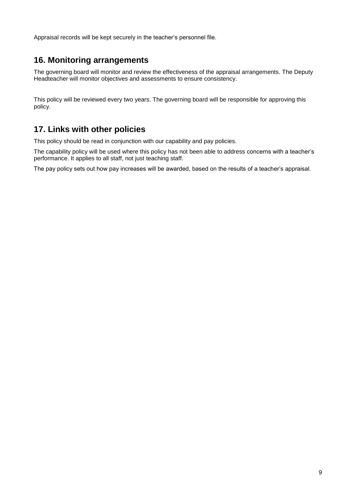Appraisal records will be kept securely in the teacher's personnel file.

### **16. Monitoring arrangements**

The governing board will monitor and review the effectiveness of the appraisal arrangements. The Deputy Headteacher will monitor objectives and assessments to ensure consistency.

This policy will be reviewed every two years. The governing board will be responsible for approving this policy.

### **17. Links with other policies**

This policy should be read in conjunction with our capability and pay policies.

The capability policy will be used where this policy has not been able to address concerns with a teacher's performance. It applies to all staff, not just teaching staff.

The pay policy sets out how pay increases will be awarded, based on the results of a teacher's appraisal.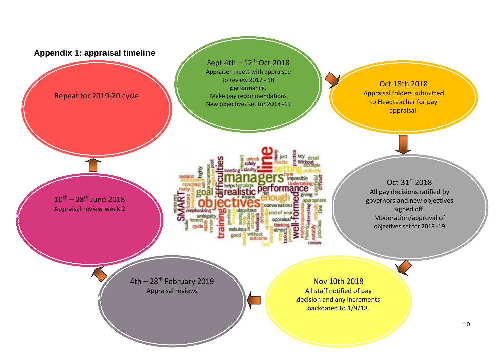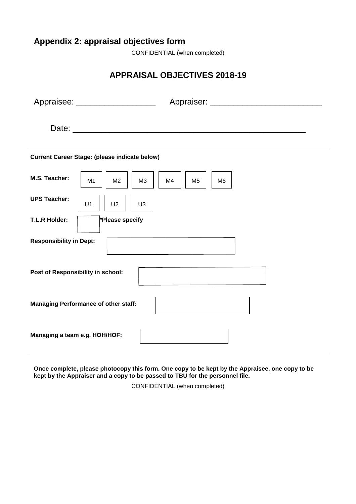# **Appendix 2: appraisal objectives form**

CONFIDENTIAL (when completed)

# **APPRAISAL OBJECTIVES 2018-19**

|                                             | Appraisee: _____________________                                                 |  |  |  |
|---------------------------------------------|----------------------------------------------------------------------------------|--|--|--|
|                                             |                                                                                  |  |  |  |
|                                             | <b>Current Career Stage: (please indicate below)</b>                             |  |  |  |
| M.S. Teacher:                               | M4<br>M <sub>1</sub><br>M <sub>2</sub><br>M <sub>3</sub><br>M <sub>5</sub><br>M6 |  |  |  |
| <b>UPS Teacher:</b>                         | U1<br>U <sub>2</sub><br>U <sub>3</sub>                                           |  |  |  |
| <b>T.L.R Holder:</b>                        | *Please specify                                                                  |  |  |  |
| <b>Responsibility in Dept:</b>              |                                                                                  |  |  |  |
| Post of Responsibility in school:           |                                                                                  |  |  |  |
| <b>Managing Performance of other staff:</b> |                                                                                  |  |  |  |
| Managing a team e.g. HOH/HOF:               |                                                                                  |  |  |  |

**Once complete, please photocopy this form. One copy to be kept by the Appraisee, one copy to be kept by the Appraiser and a copy to be passed to TBU for the personnel file.**

CONFIDENTIAL (when completed)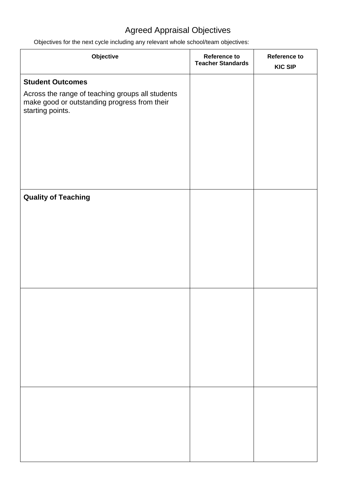# Agreed Appraisal Objectives

Objectives for the next cycle including any relevant whole school/team objectives:

| Objective                                                                                                            | <b>Reference to</b><br><b>Teacher Standards</b> | <b>Reference to</b><br><b>KIC SIP</b> |
|----------------------------------------------------------------------------------------------------------------------|-------------------------------------------------|---------------------------------------|
| <b>Student Outcomes</b>                                                                                              |                                                 |                                       |
| Across the range of teaching groups all students<br>make good or outstanding progress from their<br>starting points. |                                                 |                                       |
|                                                                                                                      |                                                 |                                       |
|                                                                                                                      |                                                 |                                       |
| <b>Quality of Teaching</b>                                                                                           |                                                 |                                       |
|                                                                                                                      |                                                 |                                       |
|                                                                                                                      |                                                 |                                       |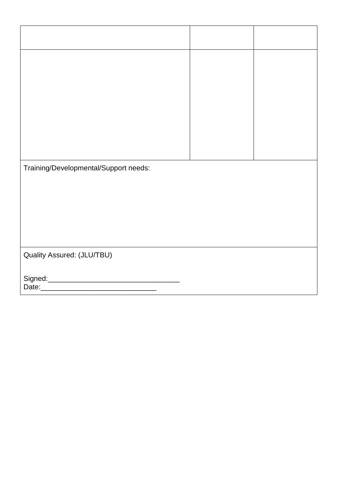| Training/Developmental/Support needs: |  |
|---------------------------------------|--|
|                                       |  |
|                                       |  |
|                                       |  |
| Quality Assured: (JLU/TBU)            |  |
|                                       |  |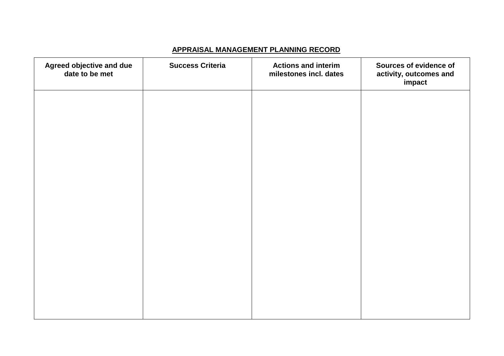### **APPRAISAL MANAGEMENT PLANNING RECORD**

| Agreed objective and due<br>date to be met | <b>Success Criteria</b> | <b>Actions and interim</b><br>milestones incl. dates | Sources of evidence of<br>activity, outcomes and<br>impact |
|--------------------------------------------|-------------------------|------------------------------------------------------|------------------------------------------------------------|
|                                            |                         |                                                      |                                                            |
|                                            |                         |                                                      |                                                            |
|                                            |                         |                                                      |                                                            |
|                                            |                         |                                                      |                                                            |
|                                            |                         |                                                      |                                                            |
|                                            |                         |                                                      |                                                            |
|                                            |                         |                                                      |                                                            |
|                                            |                         |                                                      |                                                            |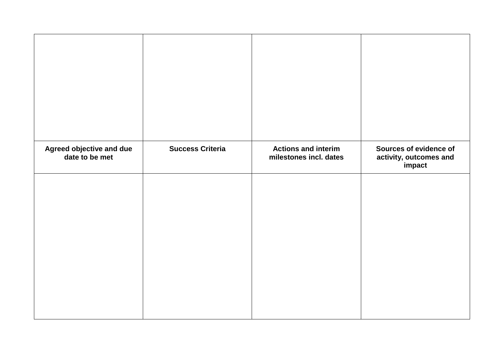| Agreed objective and due<br>date to be met | <b>Success Criteria</b> | <b>Actions and interim</b><br>milestones incl. dates | Sources of evidence of<br>activity, outcomes and<br>impact |
|--------------------------------------------|-------------------------|------------------------------------------------------|------------------------------------------------------------|
|                                            |                         |                                                      |                                                            |
|                                            |                         |                                                      |                                                            |
|                                            |                         |                                                      |                                                            |
|                                            |                         |                                                      |                                                            |
|                                            |                         |                                                      |                                                            |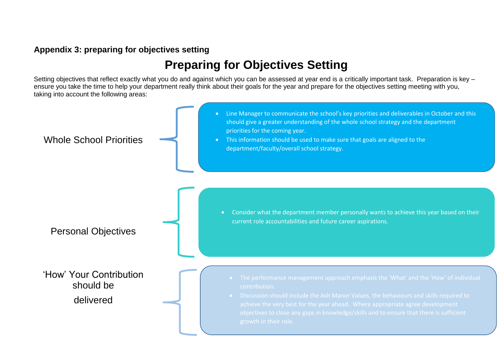### **Appendix 3: preparing for objectives setting**

# **Preparing for Objectives Setting**

Setting objectives that reflect exactly what you do and against which you can be assessed at year end is a critically important task. Preparation is key – ensure you take the time to help your department really think about their goals for the year and prepare for the objectives setting meeting with you, taking into account the following areas:

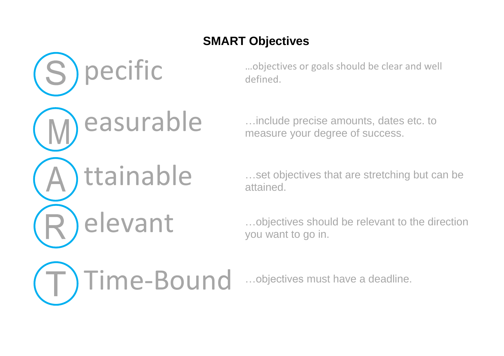# **SMART Objectives**

pecific effined. defined.

easure your degree of success measure your degree of success.

ttainable **we set objectives** that are stretching but can be attained.

elevant …objectives should be relevant to the direction you want to go in.

Time-Bound …objectives must have a deadline.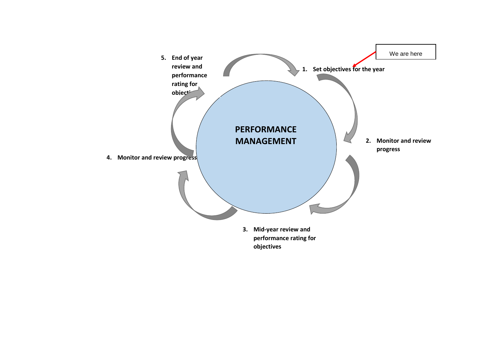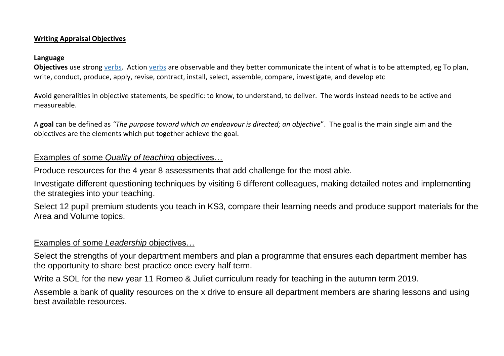### **Writing Appraisal Objectives**

#### **Language**

**Objectives** use strong verbs. Action verbs are observable and they better communicate the intent of what is to be attempted, eg To plan, write, conduct, produce, apply, revise, contract, install, select, assemble, compare, investigate, and develop etc

Avoid generalities in objective statements, be specific: to know, to understand, to deliver. The words instead needs to be active and measureable.

A **goal** can be defined as *"The purpose toward which an endeavour is directed; an objective*". The goal is the main single aim and the objectives are the elements which put together achieve the goal.

### Examples of some *Quality of teaching* objectives…

Produce resources for the 4 year 8 assessments that add challenge for the most able.

Investigate different questioning techniques by visiting 6 different colleagues, making detailed notes and implementing the strategies into your teaching.

Select 12 pupil premium students you teach in KS3, compare their learning needs and produce support materials for the Area and Volume topics.

### Examples of some *Leadership* objectives…

Select the strengths of your department members and plan a programme that ensures each department member has the opportunity to share best practice once every half term.

Write a SOL for the new year 11 Romeo & Juliet curriculum ready for teaching in the autumn term 2019.

Assemble a bank of quality resources on the x drive to ensure all department members are sharing lessons and using best available resources.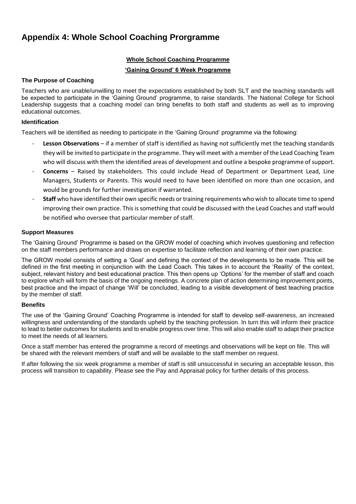## **Appendix 4: Whole School Coaching Prorgramme**

#### **Whole School Coaching Programme**

#### **'Gaining Ground' 6 Week Programme**

#### **The Purpose of Coaching**

Teachers who are unable/unwilling to meet the expectations established by both SLT and the teaching standards will be expected to participate in the 'Gaining Ground' programme, to raise standards. The National College for School Leadership suggests that a coaching model can bring benefits to both staff and students as well as to improving educational outcomes.

#### **Identification**

Teachers will be identified as needing to participate in the 'Gaining Ground' programme via the following:

- **Lesson Observations** if a member of staff is identified as having not sufficiently met the teaching standards they will be invited to participate in the programme. They will meet with a member of the Lead Coaching Team who will discuss with them the identified areas of development and outline a bespoke programme of support.
- **Concerns** Raised by stakeholders. This could include Head of Department or Department Lead. Line Managers, Students or Parents. This would need to have been identified on more than one occasion, and would be grounds for further investigation if warranted.
- **Staff** who have identified their own specific needs or training requirements who wish to allocate time to spend improving their own practice. This is something that could be discussed with the Lead Coaches and staff would be notified who oversee that particular member of staff.

#### **Support Measures**

The 'Gaining Ground' Programme is based on the GROW model of coaching which involves questioning and reflection on the staff members performance and draws on expertise to facilitate reflection and learning of their own practice.

The GROW model consists of setting a 'Goal' and defining the context of the developments to be made. This will be defined in the first meeting in conjunction with the Lead Coach. This takes in to account the 'Reality' of the context, subject, relevant history and best educational practice. This then opens up 'Options' for the member of staff and coach to explore which will form the basis of the ongoing meetings. A concrete plan of action determining improvement points, best practice and the impact of change 'Will' be concluded, leading to a visible development of best teaching practice by the member of staff.

#### **Benefits**

The use of the 'Gaining Ground' Coaching Programme is intended for staff to develop self-awareness, an increased willingness and understanding of the standards upheld by the teaching profession. In turn this will inform their practice to lead to better outcomes for students and to enable progress over time. This will also enable staff to adapt their practice to meet the needs of all learners.

Once a staff member has entered the programme a record of meetings and observations will be kept on file. This will be shared with the relevant members of staff and will be available to the staff member on request.

If after following the six week programme a member of staff is still unsuccessful in securing an acceptable lesson, this process will transition to capability. Please see the Pay and Appraisal policy for further details of this process.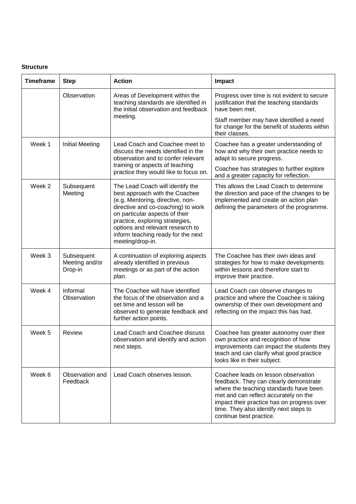#### **Structure**

| <b>Timeframe</b> | <b>Step</b>                             | <b>Action</b>                                                                                                                                                                                                                                                                                                   | Impact                                                                                                                                                                                                                                                                              |  |
|------------------|-----------------------------------------|-----------------------------------------------------------------------------------------------------------------------------------------------------------------------------------------------------------------------------------------------------------------------------------------------------------------|-------------------------------------------------------------------------------------------------------------------------------------------------------------------------------------------------------------------------------------------------------------------------------------|--|
|                  | Observation                             | Areas of Development within the<br>teaching standards are identified in<br>the initial observation and feedback                                                                                                                                                                                                 | Progress over time is not evident to secure<br>justification that the teaching standards<br>have been met.                                                                                                                                                                          |  |
|                  |                                         | meeting.                                                                                                                                                                                                                                                                                                        | Staff member may have identified a need<br>for change for the benefit of students within<br>their classes.                                                                                                                                                                          |  |
| Week 1           | <b>Initial Meeting</b>                  | Lead Coach and Coachee meet to<br>discuss the needs identified in the<br>observation and to confer relevant                                                                                                                                                                                                     | Coachee has a greater understanding of<br>how and why their own practice needs to<br>adapt to secure progress.                                                                                                                                                                      |  |
|                  |                                         | training or aspects of teaching<br>practice they would like to focus on.                                                                                                                                                                                                                                        | Coachee has strategies to further explore<br>and a greater capacity for reflection.                                                                                                                                                                                                 |  |
| Week 2           | Subsequent<br>Meeting                   | The Lead Coach will identify the<br>best approach with the Coachee<br>(e.g. Mentoring, directive, non-<br>directive and co-coaching) to work<br>on particular aspects of their<br>practice, exploring strategies,<br>options and relevant research to<br>inform teaching ready for the next<br>meeting/drop-in. | This allows the Lead Coach to determine<br>the direction and pace of the changes to be<br>implemented and create an action plan<br>defining the parameters of the programme.                                                                                                        |  |
| Week 3           | Subsequent<br>Meeting and/or<br>Drop-in | A continuation of exploring aspects<br>already identified in previous<br>meetings or as part of the action<br>plan.                                                                                                                                                                                             | The Coachee has their own ideas and<br>strategies for how to make developments<br>within lessons and therefore start to<br>improve their practice.                                                                                                                                  |  |
| Week 4           | Informal<br>Observation                 | The Coachee will have identified<br>the focus of the observation and a<br>set time and lesson will be<br>observed to generate feedback and<br>further action points.                                                                                                                                            | Lead Coach can observe changes to<br>practice and where the Coachee is taking<br>ownership of their own development and<br>reflecting on the impact this has had.                                                                                                                   |  |
| Week 5           | <b>Review</b>                           | Lead Coach and Coachee discuss<br>observation and identify and action<br>next steps.                                                                                                                                                                                                                            | Coachee has greater autonomy over their<br>own practice and recognition of how<br>improvements can impact the students they<br>teach and can clarify what good practice<br>looks like in their subject.                                                                             |  |
| Week 6           | Observation and<br>Feedback             | Lead Coach observes lesson.                                                                                                                                                                                                                                                                                     | Coachee leads on lesson observation<br>feedback. They can clearly demonstrate<br>where the teaching standards have been<br>met and can reflect accurately on the<br>impact their practice has on progress over<br>time. They also identify next steps to<br>continue best practice. |  |